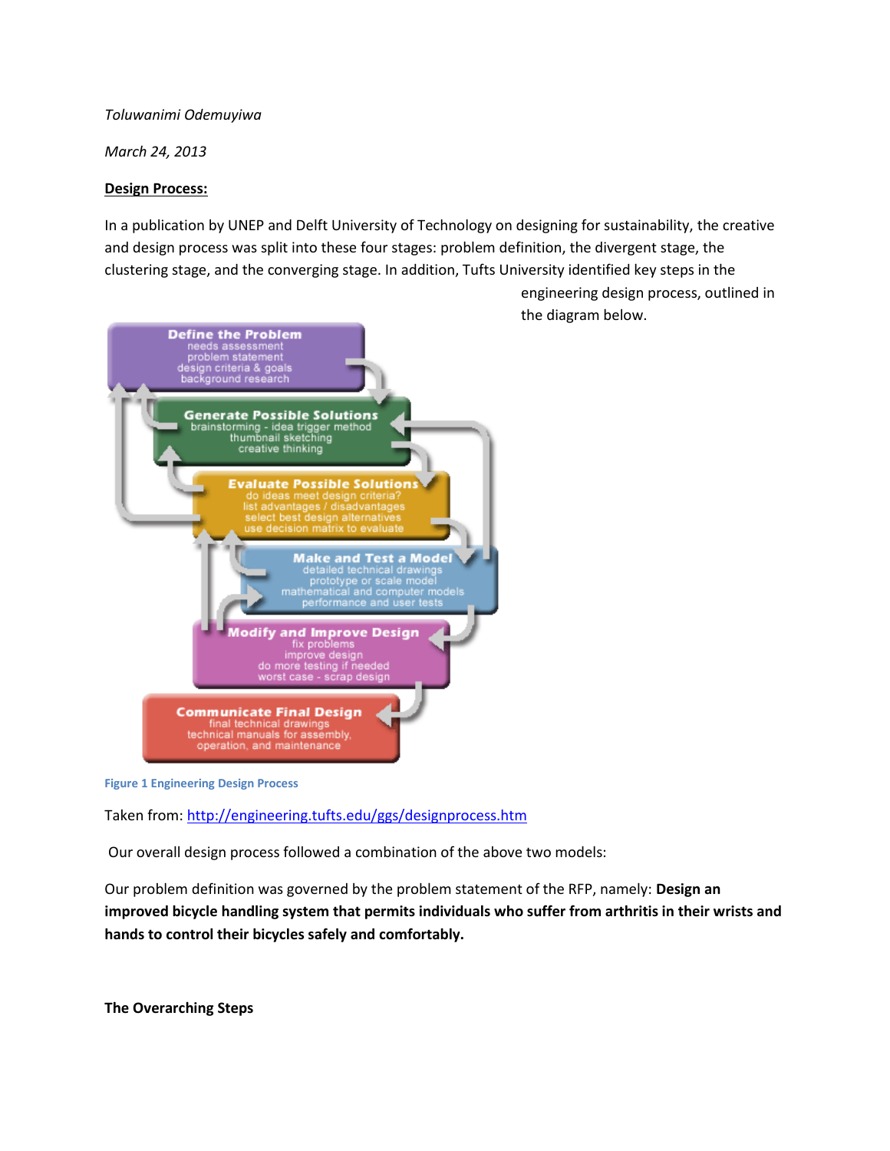*Toluwanimi Odemuyiwa*

*March 24, 2013*

#### **Design Process:**

In a publication by UNEP and Delft University of Technology on designing for sustainability, the creative and design process was split into these four stages: problem definition, the divergent stage, the clustering stage, and the converging stage. In addition, Tufts University identified key steps in the

engineering design process, outlined in the diagram below.



**Figure 1 Engineering Design Process**

Taken from[: http://engineering.tufts.edu/ggs/designprocess.htm](http://engineering.tufts.edu/ggs/designprocess.htm)

Our overall design process followed a combination of the above two models:

Our problem definition was governed by the problem statement of the RFP, namely: **Design an improved bicycle handling system that permits individuals who suffer from arthritis in their wrists and hands to control their bicycles safely and comfortably.**

**The Overarching Steps**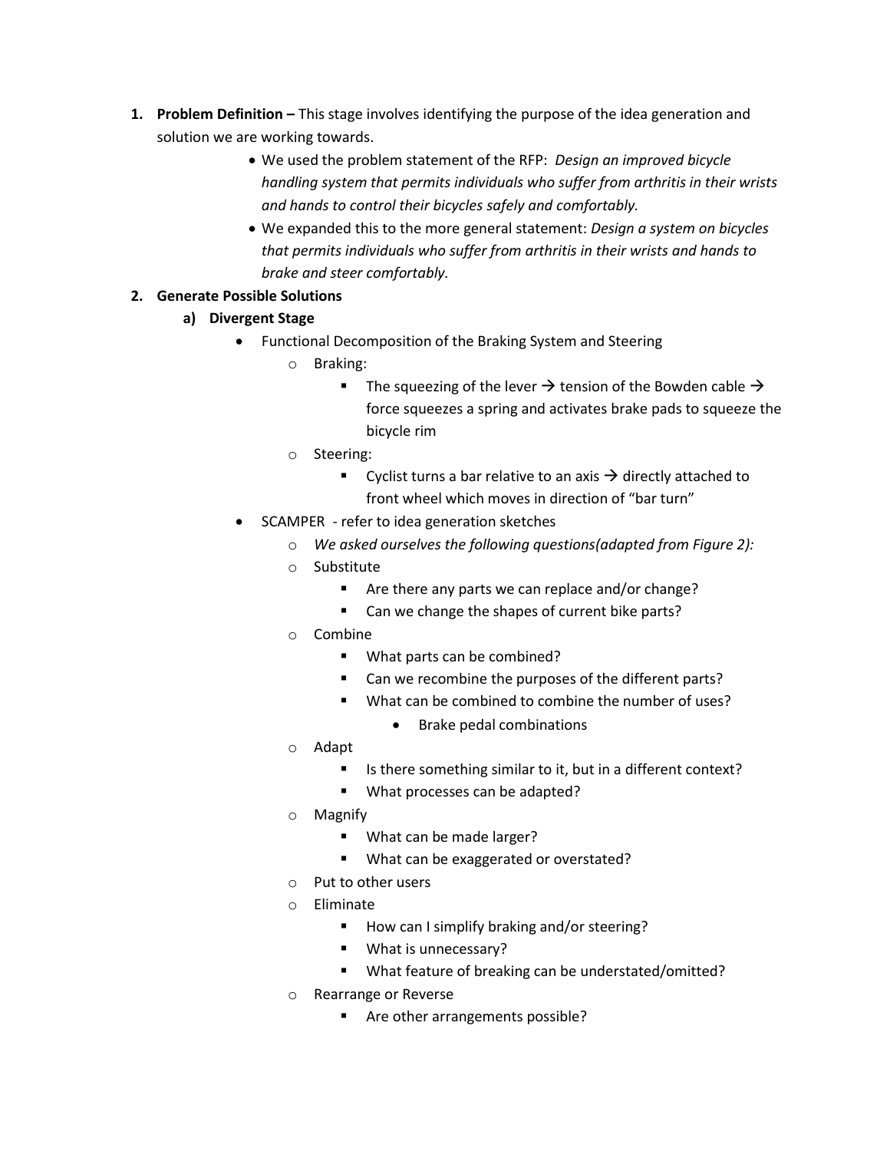- **1. Problem Definition –** This stage involves identifying the purpose of the idea generation and solution we are working towards.
	- We used the problem statement of the RFP: *Design an improved bicycle handling system that permits individuals who suffer from arthritis in their wrists and hands to control their bicycles safely and comfortably.*
	- We expanded this to the more general statement: *Design a system on bicycles that permits individuals who suffer from arthritis in their wrists and hands to brake and steer comfortably.*

# **2. Generate Possible Solutions**

- **a) Divergent Stage**
	- Functional Decomposition of the Braking System and Steering
		- o Braking:
			- The squeezing of the lever  $\rightarrow$  tension of the Bowden cable  $\rightarrow$ force squeezes a spring and activates brake pads to squeeze the bicycle rim
		- o Steering:
			- Cyclist turns a bar relative to an axis  $\rightarrow$  directly attached to front wheel which moves in direction of "bar turn"
	- SCAMPER refer to idea generation sketches
		- o *We asked ourselves the following questions(adapted from Figure 2):*
		- o Substitute
			- Are there any parts we can replace and/or change?
			- Can we change the shapes of current bike parts?
		- o Combine
			- What parts can be combined?
			- Can we recombine the purposes of the different parts?
			- What can be combined to combine the number of uses?
				- Brake pedal combinations
		- o Adapt
			- Is there something similar to it, but in a different context?
			- **What processes can be adapted?**
		- o Magnify
			- **What can be made larger?**
			- What can be exaggerated or overstated?
		- Put to other users
		- o Eliminate
			- How can I simplify braking and/or steering?
			- **What is unnecessary?**
			- What feature of breaking can be understated/omitted?
		- o Rearrange or Reverse
			- Are other arrangements possible?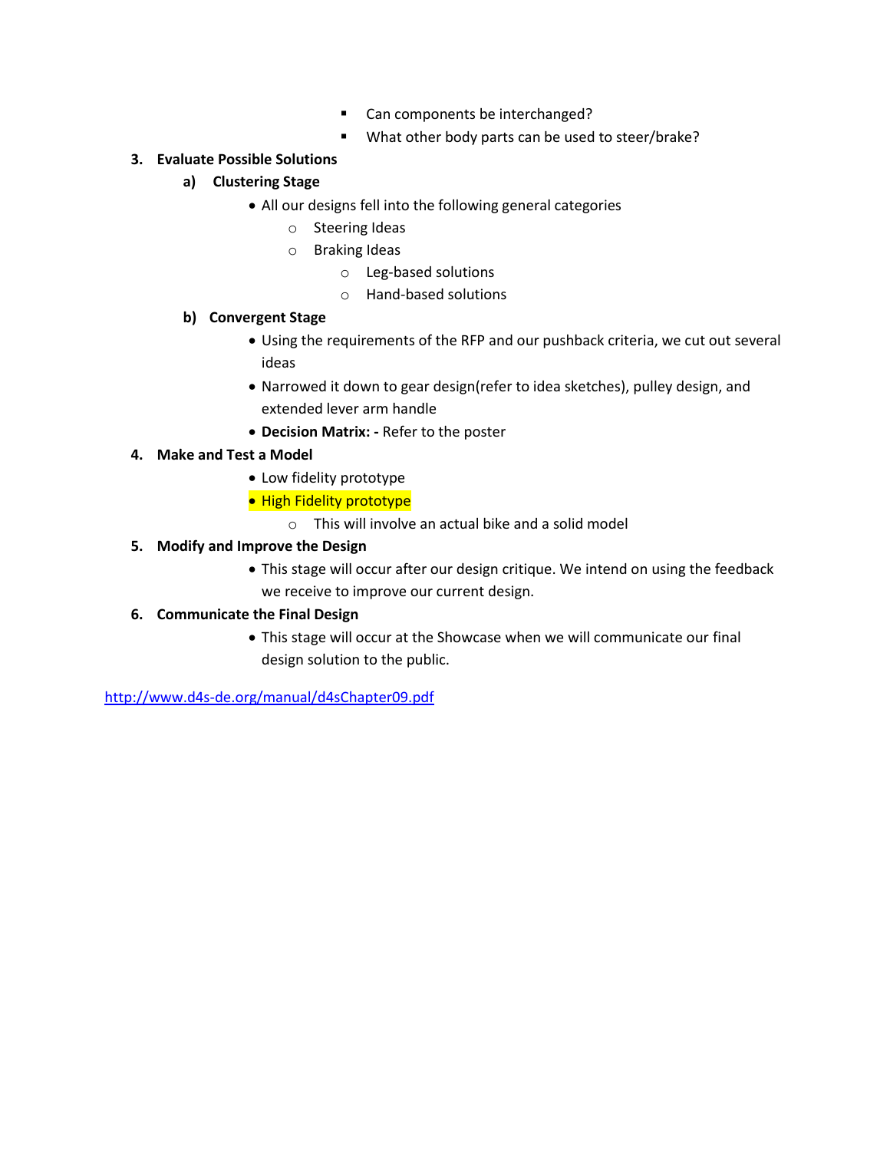- Can components be interchanged?
- What other body parts can be used to steer/brake?

## **3. Evaluate Possible Solutions**

## **a) Clustering Stage**

- All our designs fell into the following general categories
	- o Steering Ideas
	- o Braking Ideas
		- o Leg-based solutions
		- o Hand-based solutions

### **b) Convergent Stage**

- Using the requirements of the RFP and our pushback criteria, we cut out several ideas
- Narrowed it down to gear design(refer to idea sketches), pulley design, and extended lever arm handle
- **Decision Matrix: -** Refer to the poster

## **4. Make and Test a Model**

- Low fidelity prototype
- High Fidelity prototype
	- o This will involve an actual bike and a solid model

## **5. Modify and Improve the Design**

 This stage will occur after our design critique. We intend on using the feedback we receive to improve our current design.

# **6. Communicate the Final Design**

 This stage will occur at the Showcase when we will communicate our final design solution to the public.

<http://www.d4s-de.org/manual/d4sChapter09.pdf>